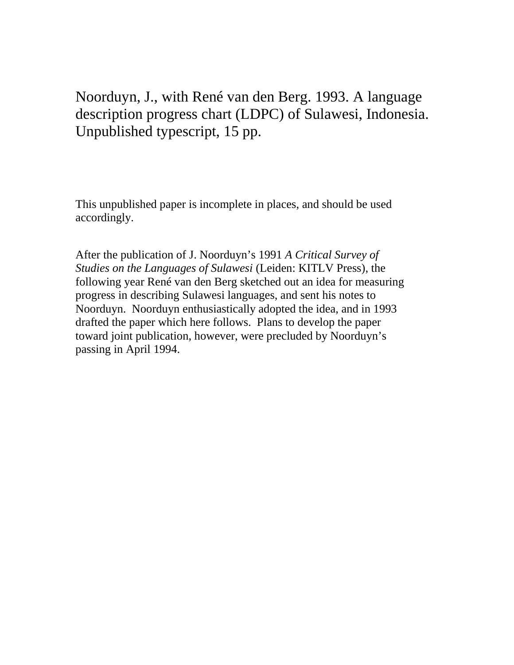# Noorduyn, J., with René van den Berg. 1993. A language description progress chart (LDPC) of Sulawesi, Indonesia. Unpublished typescript, 15 pp.

This unpublished paper is incomplete in places, and should be used accordingly.

After the publication of J. Noorduyn's 1991 *A Critical Survey of Studies on the Languages of Sulawesi* (Leiden: KITLV Press), the following year René van den Berg sketched out an idea for measuring progress in describing Sulawesi languages, and sent his notes to Noorduyn. Noorduyn enthusiastically adopted the idea, and in 1993 drafted the paper which here follows. Plans to develop the paper toward joint publication, however, were precluded by Noorduyn's passing in April 1994.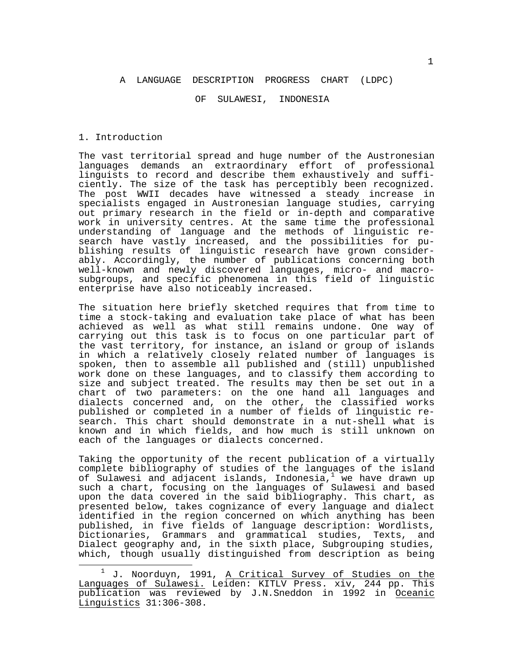## A LANGUAGE DESCRIPTION PROGRESS CHART (LDPC)

#### OF SULAWESI, INDONESIA

#### 1. Introduction

—<br>—

The vast territorial spread and huge number of the Austronesian languages demands an extraordinary effort of professional linguists to record and describe them exhaustively and sufficiently. The size of the task has perceptibly been recognized. The post WWII decades have witnessed a steady increase in specialists engaged in Austronesian language studies, carrying out primary research in the field or in-depth and comparative work in university centres. At the same time the professional understanding of language and the methods of linguistic research have vastly increased, and the possibilities for publishing results of linguistic research have grown considerably. Accordingly, the number of publications concerning both well-known and newly discovered languages, micro- and macrosubgroups, and specific phenomena in this field of linguistic enterprise have also noticeably increased.

The situation here briefly sketched requires that from time to time a stock-taking and evaluation take place of what has been achieved as well as what still remains undone. One way of carrying out this task is to focus on one particular part of the vast territory, for instance, an island or group of islands in which a relatively closely related number of languages is spoken, then to assemble all published and (still) unpublished work done on these languages, and to classify them according to size and subject treated. The results may then be set out in a chart of two parameters: on the one hand all languages and dialects concerned and, on the other, the classified works published or completed in a number of fields of linguistic research. This chart should demonstrate in a nut-shell what is known and in which fields, and how much is still unknown on each of the languages or dialects concerned.

Taking the opportunity of the recent publication of a virtually complete bibliography of studies of the languages of the island of Sulawesi and adjacent islands, Indonesia,<sup>1</sup> we have drawn up such a chart, focusing on the languages of Sulawesi and based upon the data covered in the said bibliography. This chart, as presented below, takes cognizance of every language and dialect identified in the region concerned on which anything has been published, in five fields of language description: Wordlists, Dictionaries, Grammars and grammatical studies, Texts, and Dialect geography and, in the sixth place, Subgrouping studies, which, though usually distinguished from description as being

<sup>&</sup>lt;sup>1</sup> J. Noorduyn, 1991, <u>A Critical Survey of Studies on the</u> Languages of Sulawesi. Leiden: KITLV Press. xiv, 244 pp. This publication was reviewed by J.N.Sneddon in 1992 in Oceanic Linguistics 31:306-308.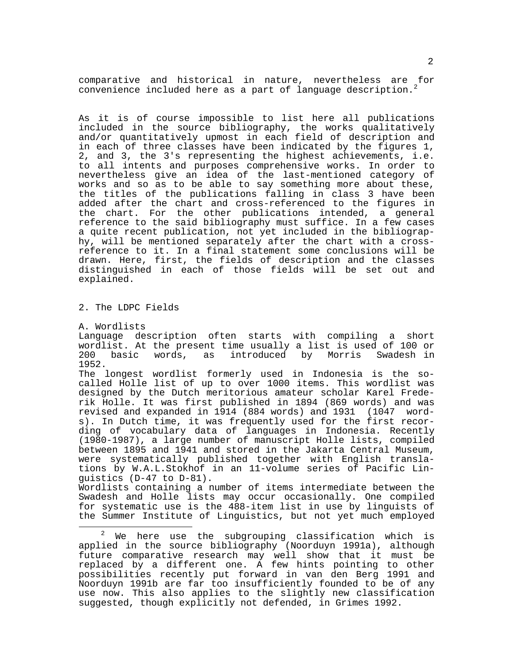comparative and historical in nature, nevertheless are for convenience included here as a part of language description.<sup>2</sup>

As it is of course impossible to list here all publications included in the source bibliography, the works qualitatively and/or quantitatively upmost in each field of description and in each of three classes have been indicated by the figures 1, 2, and 3, the 3's representing the highest achievements, i.e. to all intents and purposes comprehensive works. In order to nevertheless give an idea of the last-mentioned category of works and so as to be able to say something more about these, the titles of the publications falling in class 3 have been added after the chart and cross-referenced to the figures in the chart. For the other publications intended, a general reference to the said bibliography must suffice. In a few cases a quite recent publication, not yet included in the bibliography, will be mentioned separately after the chart with a crossreference to it. In a final statement some conclusions will be drawn. Here, first, the fields of description and the classes distinguished in each of those fields will be set out and explained.

2. The LDPC Fields

A. Wordlists

÷,

Language description often starts with compiling a short wordlist. At the present time usually a list is used of 100 or<br>200 basic words, as introduced by Morris Swadesh in introduced by 1952.

The longest wordlist formerly used in Indonesia is the socalled Holle list of up to over 1000 items. This wordlist was designed by the Dutch meritorious amateur scholar Karel Frederik Holle. It was first published in 1894 (869 words) and was revised and expanded in 1914 (884 words) and 1931 (1047 words). In Dutch time, it was frequently used for the first recording of vocabulary data of languages in Indonesia. Recently (1980-1987), a large number of manuscript Holle lists, compiled between 1895 and 1941 and stored in the Jakarta Central Museum, were systematically published together with English translations by W.A.L.Stokhof in an 11-volume series of Pacific Linguistics (D-47 to D-81).

Wordlists containing a number of items intermediate between the Swadesh and Holle lists may occur occasionally. One compiled for systematic use is the 488-item list in use by linguists of the Summer Institute of Linguistics, but not yet much employed

 $2$  We here use the subgrouping classification which is applied in the source bibliography (Noorduyn 1991a), although future comparative research may well show that it must be replaced by a different one. A few hints pointing to other possibilities recently put forward in van den Berg 1991 and Noorduyn 1991b are far too insufficiently founded to be of any use now. This also applies to the slightly new classification suggested, though explicitly not defended, in Grimes 1992.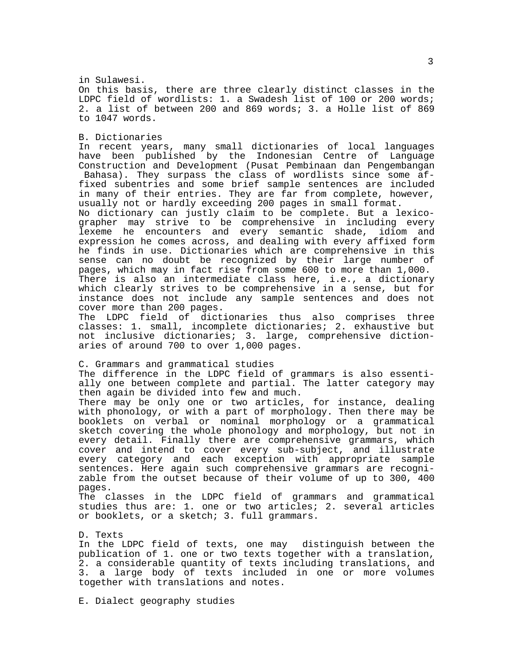in Sulawesi. On this basis, there are three clearly distinct classes in the LDPC field of wordlists: 1. a Swadesh list of 100 or 200 words; 2. a list of between 200 and 869 words; 3. a Holle list of 869 to 1047 words.

B. Dictionaries

In recent years, many small dictionaries of local languages have been published by the Indonesian Centre of Language Construction and Development (Pusat Pembinaan dan Pengembangan Bahasa). They surpass the class of wordlists since some affixed subentries and some brief sample sentences are included in many of their entries. They are far from complete, however, usually not or hardly exceeding 200 pages in small format.

No dictionary can justly claim to be complete. But a lexicographer may strive to be comprehensive in including every lexeme he encounters and every semantic shade, idiom and expression he comes across, and dealing with every affixed form he finds in use. Dictionaries which are comprehensive in this sense can no doubt be recognized by their large number of pages, which may in fact rise from some 600 to more than 1,000. There is also an intermediate class here, i.e., a dictionary which clearly strives to be comprehensive in a sense, but for instance does not include any sample sentences and does not cover more than 200 pages.

The LDPC field of dictionaries thus also comprises three classes: 1. small, incomplete dictionaries; 2. exhaustive but not inclusive dictionaries; 3. large, comprehensive dictionaries of around 700 to over 1,000 pages.

C. Grammars and grammatical studies

The difference in the LDPC field of grammars is also essentially one between complete and partial. The latter category may then again be divided into few and much.

There may be only one or two articles, for instance, dealing with phonology, or with a part of morphology. Then there may be booklets on verbal or nominal morphology or a grammatical sketch covering the whole phonology and morphology, but not in every detail. Finally there are comprehensive grammars, which cover and intend to cover every sub-subject, and illustrate every category and each exception with appropriate sample sentences. Here again such comprehensive grammars are recognizable from the outset because of their volume of up to 300, 400 pages.

The classes in the LDPC field of grammars and grammatical studies thus are: 1. one or two articles; 2. several articles or booklets, or a sketch; 3. full grammars.

D. Texts

In the LDPC field of texts, one may distinguish between the publication of 1. one or two texts together with a translation, 2. a considerable quantity of texts including translations, and 3. a large body of texts included in one or more volumes together with translations and notes.

E. Dialect geography studies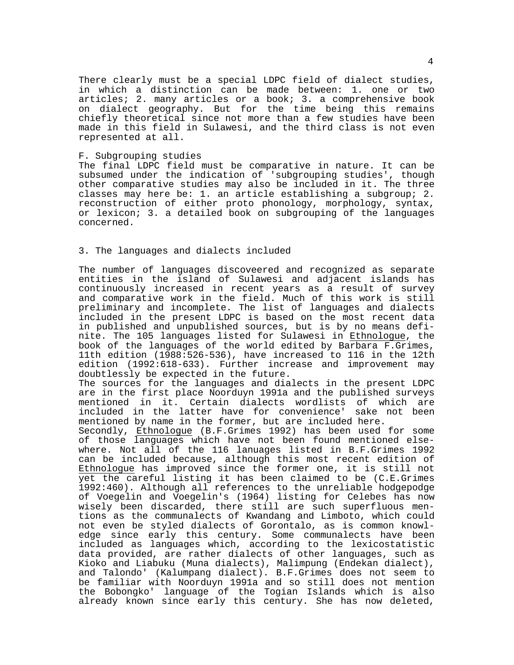There clearly must be a special LDPC field of dialect studies, in which a distinction can be made between: 1. one or two articles; 2. many articles or a book; 3. a comprehensive book on dialect geography. But for the time being this remains chiefly theoretical since not more than a few studies have been made in this field in Sulawesi, and the third class is not even represented at all.

#### F. Subgrouping studies

The final LDPC field must be comparative in nature. It can be subsumed under the indication of 'subgrouping studies', though other comparative studies may also be included in it. The three classes may here be: 1. an article establishing a subgroup; 2. reconstruction of either proto phonology, morphology, syntax, or lexicon; 3. a detailed book on subgrouping of the languages concerned.

## 3. The languages and dialects included

The number of languages discoveered and recognized as separate entities in the island of Sulawesi and adjacent islands has continuously increased in recent years as a result of survey and comparative work in the field. Much of this work is still preliminary and incomplete. The list of languages and dialects included in the present LDPC is based on the most recent data in published and unpublished sources, but is by no means definite. The 105 languages listed for Sulawesi in Ethnologue, the book of the languages of the world edited by Barbara F.Grimes, 11th edition (1988:526-536), have increased to 116 in the 12th edition (1992:618-633). Further increase and improvement may doubtlessly be expected in the future.

The sources for the languages and dialects in the present LDPC are in the first place Noorduyn 1991a and the published surveys mentioned in it. Certain dialects wordlists of which are included in the latter have for convenience' sake not been mentioned by name in the former, but are included here.

Secondly, Ethnologue (B.F.Grimes 1992) has been used for some of those languages which have not been found mentioned elsewhere. Not all of the 116 lanuages listed in B.F.Grimes 1992 can be included because, although this most recent edition of Ethnologue has improved since the former one, it is still not yet the careful listing it has been claimed to be (C.E.Grimes 1992:460). Although all references to the unreliable hodgepodge of Voegelin and Voegelin's (1964) listing for Celebes has now wisely been discarded, there still are such superfluous mentions as the communalects of Kwandang and Limboto, which could not even be styled dialects of Gorontalo, as is common knowledge since early this century. Some communalects have been included as languages which, according to the lexicostatistic data provided, are rather dialects of other languages, such as Kioko and Liabuku (Muna dialects), Malimpung (Endekan dialect), and Talondo' (Kalumpang dialect). B.F.Grimes does not seem to be familiar with Noorduyn 1991a and so still does not mention the Bobongko' language of the Togian Islands which is also already known since early this century. She has now deleted,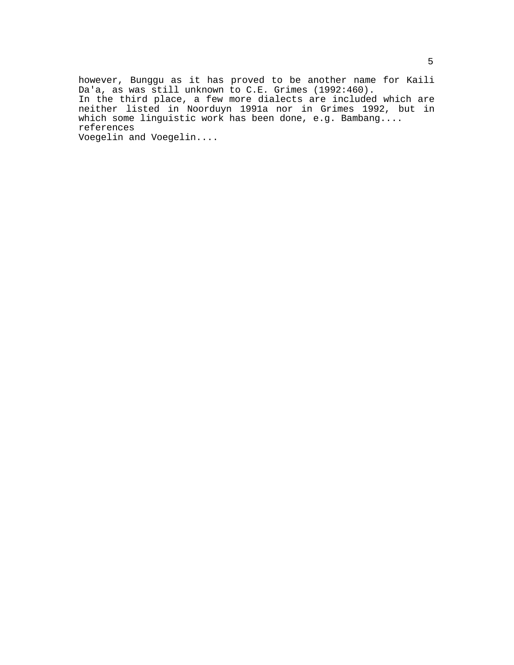however, Bunggu as it has proved to be another name for Kaili Da'a, as was still unknown to C.E. Grimes (1992:460). In the third place, a few more dialects are included which are neither listed in Noorduyn 1991a nor in Grimes 1992, but in which some linguistic work has been done, e.g. Bambang.... references Voegelin and Voegelin....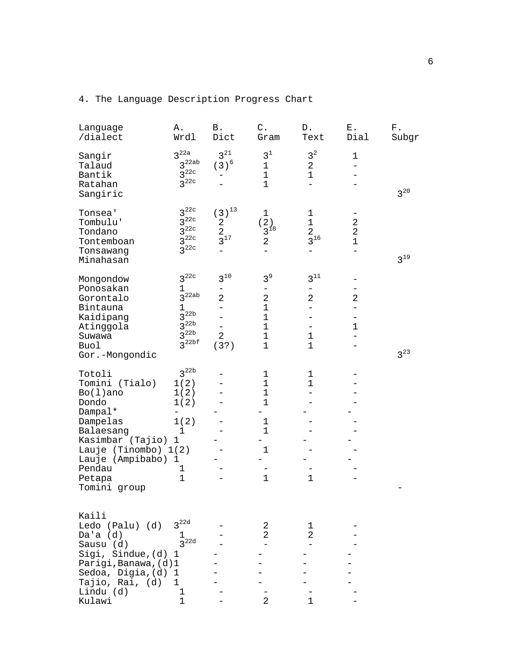| Language<br>/dialect                                                                                                                                                                       | Α.<br>Wrdl                                                                                        | Β.<br>Dict                                                                           | $\mathtt{C}$ .<br>Gram                                                                                           | D.<br>Text                                                | Ε.<br>Dial                                         | ${\rm F}$ .<br>Subgr |
|--------------------------------------------------------------------------------------------------------------------------------------------------------------------------------------------|---------------------------------------------------------------------------------------------------|--------------------------------------------------------------------------------------|------------------------------------------------------------------------------------------------------------------|-----------------------------------------------------------|----------------------------------------------------|----------------------|
| Sangir<br>Talaud<br>Bantik<br>Ratahan<br>Sangiric                                                                                                                                          | 3 <sup>22a</sup><br>3 <sup>22ab</sup><br>$3^{22c}$<br>$3^{22c}$                                   | $3^{21}$<br>$(3)^6$                                                                  | 3 <sup>1</sup><br>$\mathbf 1$<br>$\mathbf 1$<br>$\mathbf 1$                                                      | 3 <sup>2</sup><br>2<br>$\mathbf 1$                        | $\mathbf 1$                                        | $3^{20}$             |
| Tonsea'<br>Tombulu'<br>Tondano<br>Tontemboan<br>Tonsawang<br>Minahasan                                                                                                                     | $3^{22c}$<br>$3^{22c}$<br>$3^{22c}$<br>$3^{22c}$<br>$3^{22c}$                                     | $\left(\,3\,\right)^{\,13}$<br>$\overline{\mathbf{c}}$<br>$\overline{a}$<br>$3^{17}$ | $\mathbf 1$<br>(2)<br>$\frac{1}{3}$ <sup>18</sup><br>2                                                           | $\mathbf 1$<br>$\mathbf{1}$<br>$\overline{a}$<br>$3^{16}$ | $\boldsymbol{2}$<br>$\overline{a}$<br>$\mathbf{1}$ | $3^{19}$             |
| Mongondow<br>Ponosakan<br>Gorontalo<br>Bintauna<br>Kaidipang<br>Atinggola<br>Suwawa<br>Buol<br>Gor.-Mongondic                                                                              | $3^{22c}$<br>1<br>$3^{22ab}$<br>1<br>$3^{22b}$<br>$3^{22b}$<br>$3^{22b}$<br>$3^{22bf}$            | $3^{10}$<br>2<br>$\overline{a}$<br>$\overline{2}$<br>(3?)                            | 3 <sup>9</sup><br>$\sqrt{2}$<br>$\mathbf 1$<br>$\mathbf 1$<br>$\mathbf 1$<br>$1\,$<br>$\mathbf 1$                | $3^{11}$<br>2<br>$\mathbf 1$<br>$\mathbf{1}$              | $\overline{2}$<br>$\mathbf 1$                      | $3^{23}$             |
| Totoli<br>Tomini (Tialo)<br>$Bo(1)$ ano<br>Dondo<br>Dampal*<br>Dampelas<br>Balaesang<br>Kasimbar (Tajio)<br>Lauje (Tinombo) 1(2)<br>Lauje (Ampibabo) 1<br>Pendau<br>Petapa<br>Tomini group | $3^{22b}$<br>1(2)<br>1(2)<br>1(2)<br>-<br>1(2)<br>$\mathbf 1$<br>1<br>$\mathbf 1$<br>$\mathbf{1}$ |                                                                                      | $\mathbf 1$<br>$\mathbf 1$<br>$\mathbf 1$<br>$\mathbf 1$<br>$\mathbf 1$<br>$\mathbf{1}$<br>$\mathbf{1}$<br>$1\,$ | 1<br>$\mathbf{1}$<br>$\mathbf{1}$                         |                                                    |                      |
| Kaili<br>Ledo (Palu) (d)<br>Da'a $(d)$<br>Sausu (d)<br>Sigi, Sindue, (d) 1<br>Parigi, Banawa, (d) 1<br>Sedoa, Digia, (d)<br>Tajio, Rai, (d)<br>Lindu (d)                                   | 3 <sup>22d</sup><br>$\frac{1}{3}$ 22d<br>1<br>$\mathbf{1}$<br>$\mathbf{1}$                        |                                                                                      | 2<br>2                                                                                                           | 1<br>2                                                    |                                                    |                      |

Kulawi 1 - 2 1 -

# 4. The Language Description Progress Chart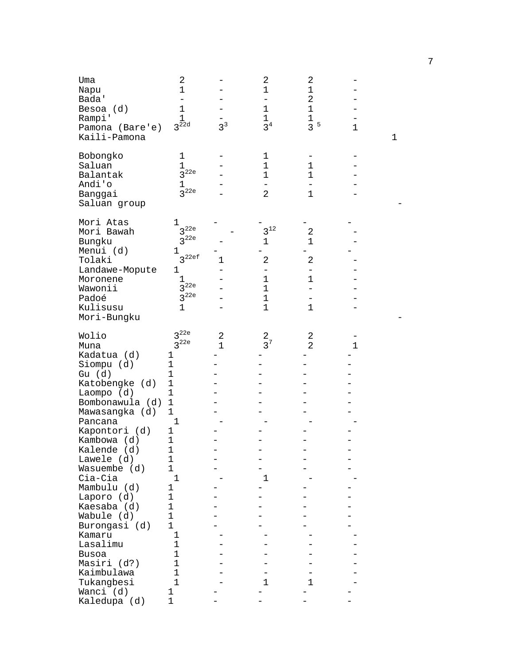| Uma<br>Napu<br>Bada'<br>Besoa (d)<br>Rampi'<br>Pamona (Bare'e)<br>Kaili-Pamona                                                                                                                                                                                                                                                                                                                          | $\overline{c}$<br>1<br>1<br>1<br>$3^{\overline{2}2d}$                                                                                                                                                                                                                                       | 3 <sup>3</sup>    | 2<br>$\mathbf 1$<br>$\mathbf 1$<br>$\mathbf 1$<br>3 <sup>4</sup> | 2<br>$1\,$<br>$\sqrt{2}$<br>$\mathbf 1$<br>1<br>3 <sup>5</sup>                | $\mathbf 1$ | 1 |  |
|---------------------------------------------------------------------------------------------------------------------------------------------------------------------------------------------------------------------------------------------------------------------------------------------------------------------------------------------------------------------------------------------------------|---------------------------------------------------------------------------------------------------------------------------------------------------------------------------------------------------------------------------------------------------------------------------------------------|-------------------|------------------------------------------------------------------|-------------------------------------------------------------------------------|-------------|---|--|
| Bobongko<br>Saluan<br>Balantak<br>Andi'o<br>Banggai<br>Saluan group                                                                                                                                                                                                                                                                                                                                     | 1<br>1<br>$3^{22e}$<br>ı<br>3 <sup>22e</sup>                                                                                                                                                                                                                                                |                   | 1<br>$\mathbf 1$<br>$\mathbf 1$<br>$\overline{a}$                | $\mathbf 1$<br>$\mathbf 1$<br>$1\,$                                           |             |   |  |
| Mori Atas<br>Mori Bawah<br>Bungku<br>Menui (d)<br>Tolaki<br>Landawe-Mopute<br>Moronene<br>Wawonii<br>Padoé<br>Kulisusu<br>Mori-Bungku                                                                                                                                                                                                                                                                   | 1<br>$3^{22e}$<br>3 <sup>22e</sup><br>1<br>$3^{22ef}$<br>1<br>ı<br>3 <sup>22e</sup><br>3 <sup>22e</sup><br>1                                                                                                                                                                                | 1                 | $3^{12}$<br>1<br>2<br>1<br>$\mathbf 1$<br>$1\,$<br>$\mathbf 1$   | 2<br>1<br>$\overline{2}$<br>$\overline{\phantom{0}}$<br>1<br>▃<br>$\mathbf 1$ |             |   |  |
| Wolio<br>Muna<br>Kadatua (d)<br>Siompu (d)<br>Gu (d)<br>Katobengke (d)<br>Laompo $(d)$<br>Bombonawula (d)<br>Mawasangka (d)<br>Pancana<br>Kapontori (d)<br>Kambowa (d)<br>Kalende (d)<br>Lawele (d)<br>Wasuembe (d)<br>Cia-Cia<br>Mambulu (d)<br>Laporo (d)<br>Kaesaba (d)<br>Wabule (d)<br>Burongasi (d)<br>Kamaru<br>Lasalimu<br><b>Busoa</b><br>Masiri (d?)<br>Kaimbulawa<br>Tukangbesi<br>Wanci (d) | 3 <sup>22e</sup><br>3 <sup>22e</sup><br>1<br>1<br>1<br>$\mathbf 1$<br>1<br>1<br>$\mathbf{1}$<br>1<br>1<br>1<br>1<br>1<br>$\mathbf 1$<br>1<br>1<br>$\mathbf 1$<br>$\mathbf{1}$<br>1<br>$\mathbf 1$<br>1<br>$\mathbf{1}$<br>$\mathbf{1}$<br>$\mathbf{1}$<br>$\mathbf{1}$<br>$\mathbf{1}$<br>1 | 2<br>$\mathbf{1}$ | $\overline{c}$<br>$3^7$<br>$\mathbf 1$<br>1                      | 2<br>$\overline{2}$<br>1                                                      | $\mathbf 1$ |   |  |
| Kaledupa (d)                                                                                                                                                                                                                                                                                                                                                                                            | 1                                                                                                                                                                                                                                                                                           |                   |                                                                  |                                                                               |             |   |  |

7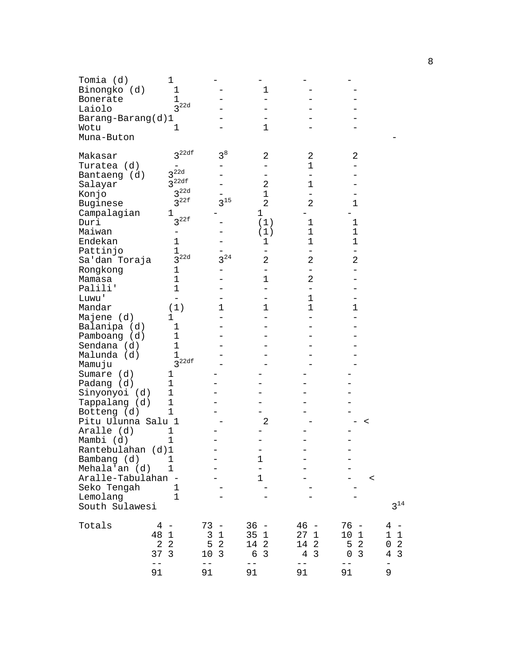| Tomia (d)<br>Binongko (d)<br>Bonerate<br>Laiolo<br>Barang-Barang(d)1<br>Wotu<br>Muna-Buton                                                      | $\mathbf 1$<br>1<br>$\mathbf{1}$<br>3 <sup>22d</sup><br>1                                                                                             |                                                                                               | 1<br>1                                                                                                |                                                                                   |                                                                                          |                                                                               |
|-------------------------------------------------------------------------------------------------------------------------------------------------|-------------------------------------------------------------------------------------------------------------------------------------------------------|-----------------------------------------------------------------------------------------------|-------------------------------------------------------------------------------------------------------|-----------------------------------------------------------------------------------|------------------------------------------------------------------------------------------|-------------------------------------------------------------------------------|
| Makasar<br>Turatea (d)<br>Bantaeng (d)<br>Salayar<br>Konjo<br>Buginese<br>Campalagian<br>Duri<br>Maiwan<br>Endekan<br>Pattinjo<br>Sa'dan Toraja | 3 <sup>22df</sup><br>3 <sup>22d</sup><br>$3^{22df}$<br>3 <sup>22d</sup><br>3 <sup>22f</sup><br>1<br>$3^{22f}$<br>1<br>$\mathbf 1$<br>3 <sup>22d</sup> | $3^8$<br>$3^{15}$<br>$3^{24}$                                                                 | 2<br>2<br>$\mathbf 1$<br>2<br>1<br>(1)<br>(1)<br>1<br>2                                               | 2<br>$\mathbf 1$<br>1<br>2<br>1<br>$\mathbf 1$<br>1<br>2                          | 2<br>$\mathbf 1$<br>$\mathbf 1$<br>$\mathbf 1$<br>$\mathbf 1$<br>2                       |                                                                               |
| Rongkong<br>Mamasa<br>Palili'<br>Luwu'<br>Mandar<br>Majene (d)                                                                                  | 1<br>1<br>$\mathbf 1$<br>(1)<br>1                                                                                                                     | $\mathbf 1$                                                                                   | 1<br>1                                                                                                | -<br>2<br>1<br>1                                                                  | $\mathbf 1$                                                                              |                                                                               |
| Balanipa (d)<br>Pamboang (d)<br>Sendana (d)<br>Malunda (d)<br>Mamuju                                                                            | 1<br>$\mathbf 1$<br>$\mathbf 1$<br>1<br>$3^{22df}$                                                                                                    |                                                                                               |                                                                                                       |                                                                                   |                                                                                          |                                                                               |
| Sumare (d)<br>Padang (d)<br>Sinyonyoi (d)<br>Tappalang (d)<br>Botteng (d)<br>Pitu Ulunna Salu 1                                                 | 1<br>1<br>$\mathbf 1$<br>$\mathbf 1$<br>1                                                                                                             |                                                                                               | 2                                                                                                     |                                                                                   | $\,<\,$                                                                                  |                                                                               |
| Aralle (d)<br>Mambi (d)<br>Rantebulahan (d)1<br>Bambang (d)<br>Mehala'an (d)<br>Aralle-Tabulahan -                                              | 1<br>1<br>1<br>1                                                                                                                                      |                                                                                               | 1<br>$\equiv$<br>$\mathbf{1}$                                                                         |                                                                                   | $\,<\,$                                                                                  |                                                                               |
| Seko Tengah<br>Lemolang<br>South Sulawesi                                                                                                       | 1<br>1                                                                                                                                                |                                                                                               |                                                                                                       |                                                                                   |                                                                                          | $3^{14}$                                                                      |
| Totals                                                                                                                                          | 4<br>48<br>$1\,$<br>$\overline{2}$<br>$\overline{2}$<br>37<br>$\overline{3}$<br>$ -$                                                                  | 73<br>$\overline{\phantom{a}}$<br>3<br>$\mathbf{1}$<br>5<br>$\overline{2}$<br>10<br>3<br>$ -$ | 36<br>$\hspace{0.1mm}-\hspace{0.1mm}$<br>35<br>$\mathbf 1$<br>14<br>$\overline{2}$<br>6<br>3<br>$- -$ | $46 -$<br>271<br>14<br>$\overline{2}$<br>$\overline{3}$<br>$\overline{4}$<br>$ -$ | 76 -<br>10<br>1<br>$\overline{2}$<br>5<br>$\overline{3}$<br>$\mathsf{O}\xspace$<br>$- -$ | 4<br>1<br>$\mathbf{1}$<br>$\sqrt{2}$<br>0<br>$\overline{3}$<br>$\overline{4}$ |
|                                                                                                                                                 | 91                                                                                                                                                    | 91                                                                                            | 91                                                                                                    | 91                                                                                | 91                                                                                       | 9                                                                             |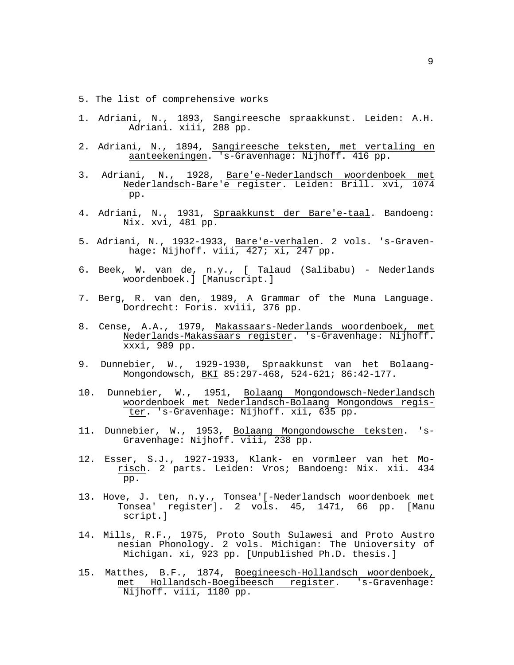- 5. The list of comprehensive works
- 1. Adriani, N., 1893, Sangireesche spraakkunst. Leiden: A.H. Adriani. xiii, 288 pp.
- 2. Adriani, N., 1894, Sangireesche teksten, met vertaling en aanteekeningen. 's-Gravenhage: Nijhoff. 416 pp.
- 3. Adriani, N., 1928, Bare'e-Nederlandsch woordenboek met Nederlandsch-Bare'e register. Leiden: Brill. xvi, 1074 pp.
- 4. Adriani, N., 1931, Spraakkunst der Bare'e-taal. Bandoeng: Nix. xvi, 481 pp.
- 5. Adriani, N., 1932-1933, Bare'e-verhalen. 2 vols. 's-Graven hage: Nijhoff. viii, 427; xi, 247 pp.
- 6. Beek, W. van de, n.y., [ Talaud (Salibabu) Nederlands woordenboek.] [Manuscript.]
- 7. Berg, R. van den, 1989, A Grammar of the Muna Language. Dordrecht: Foris. xviii, 376 pp.
- 8. Cense, A.A., 1979, Makassaars-Nederlands woordenboek, met Nederlands-Makassaars register. 's-Gravenhage: Nijhoff. xxxi, 989 pp.
- 9. Dunnebier, W., 1929-1930, Spraakkunst van het Bolaang- Mongondowsch, BKI 85:297-468, 524-621; 86:42-177.
- 10. Dunnebier, W., 1951, Bolaang Mongondowsch-Nederlandsch woordenboek met Nederlandsch-Bolaang Mongondows regis ter. 's-Gravenhage: Nijhoff. xii, 635 pp.
- 11. Dunnebier, W., 1953, Bolaang Mongondowsche teksten. 's- Gravenhage: Nijhoff. viii, 238 pp.
- 12. Esser, S.J., 1927-1933, Klank- en vormleer van het Mo risch. 2 parts. Leiden: Vros; Bandoeng: Nix. xii. 434 pp.
- 13. Hove, J. ten, n.y., Tonsea'[-Nederlandsch woordenboek met Tonsea' register]. 2 vols. 45, 1471, 66 pp. [Manu script.]
- 14. Mills, R.F., 1975, Proto South Sulawesi and Proto Austro nesian Phonology. 2 vols. Michigan: The Unioversity of Michigan. xi, 923 pp. [Unpublished Ph.D. thesis.]
- 15. Matthes, B.F., 1874, Boegineesch-Hollandsch woordenboek, met Hollandsch-Boegibeesch register. 's-Gravenhage: Nijhoff. viii, 1180 pp.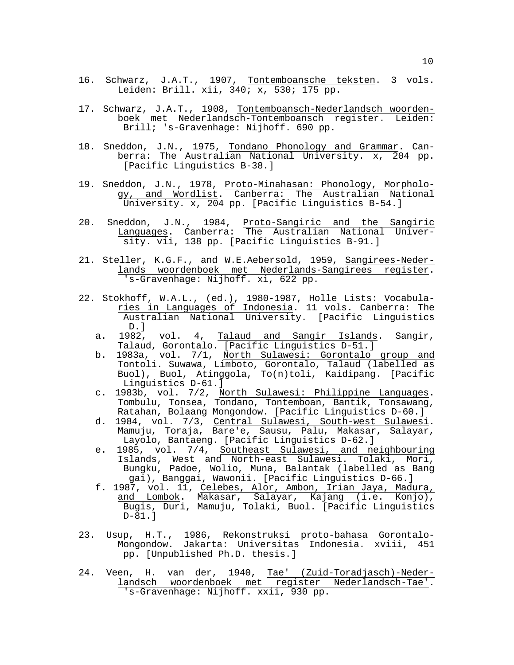- 16. Schwarz, J.A.T., 1907, Tontemboansche teksten. 3 vols. Leiden: Brill. xii,  $340; x$ ,  $530; 175$  pp.
- 17. Schwarz, J.A.T., 1908, Tontemboansch-Nederlandsch woorden boek met Nederlandsch-Tontemboansch register. Leiden: Brill; 's-Gravenhage: Nijhoff. 690 pp.
- 18. Sneddon, J.N., 1975, Tondano Phonology and Grammar. Can berra: The Australian National University. x, 204 pp. [Pacific Linguistics B-38.]
- 19. Sneddon, J.N., 1978, Proto-Minahasan: Phonology, Morpholo gy, and Wordlist. Canberra: The Australian National University. x, 204 pp. [Pacific Linguistics B-54.]
- 20. Sneddon, J.N., 1984, Proto-Sangiric and the Sangiric Languages. Canberra: The Australian National Univer sity. vii, 138 pp. [Pacific Linguistics B-91.]
- 21. Steller, K.G.F., and W.E.Aebersold, 1959, Sangirees-Neder lands woordenboek met Nederlands-Sangirees register. 's-Gravenhage: Nijhoff. xi, 622 pp.
- 22. Stokhoff, W.A.L., (ed.), 1980-1987, Holle Lists: Vocabula ries in Languages of Indonesia. 11 vols. Canberra: The Australian National University. [Pacific Linguistics D.]
	- a. 1982, vol. 4, Talaud and Sangir Islands. Sangir, Talaud, Gorontalo. [Pacific Linguistics D-51.]
	- b. 1983a, vol. 7/1, North Sulawesi: Gorontalo group and Tontoli. Suwawa, Limboto, Gorontalo, Talaud (labelled as Buol), Buol, Atinggola, To(n)toli, Kaidipang. [Pacific Linguistics D-61.]
	- c. 1983b, vol. 7/2, North Sulawesi: Philippine Languages. Tombulu, Tonsea, Tondano, Tontemboan, Bantik, Tonsawang, Ratahan, Bolaang Mongondow. [Pacific Linguistics D-60.]
- d. 1984, vol. 7/3, <u>Central Sulawesi, South-west Sulawesi</u>. Mamuju, Toraja, Bare'e, Sausu, Palu, Makasar, Salayar, Layolo, Bantaeng. [Pacific Linguistics D-62.]
	- e. 1985, vol. 7/4, Southeast Sulawesi, and neighbouring Islands, West and North-east Sulawesi. Tolaki, Mori, Bungku, Padoe, Wolio, Muna, Balantak (labelled as Bang gai), Banggai, Wawonii. [Pacific Linguistics D-66.]
	- f. 1987, vol. 11, Celebes, Alor, Ambon, Irian Jaya, Madura, and Lombok. Makasar, Salayar, Kajang (i.e. Konjo), Bugis, Duri, Mamuju, Tolaki, Buol. [Pacific Linguistics D-81.]
- 23. Usup, H.T., 1986, Rekonstruksi proto-bahasa Gorontalo- Mongondow. Jakarta: Universitas Indonesia. xviii, 451 pp. [Unpublished Ph.D. thesis.]
- 24. Veen, H. van der, 1940, Tae' (Zuid-Toradjasch)-Neder landsch woordenboek met register Nederlandsch-Tae'. 's-Gravenhage: Nijhoff. xxii, 930 pp.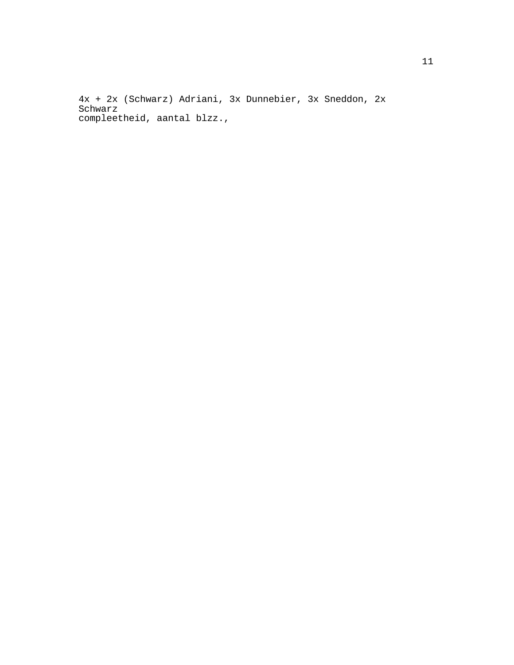4x + 2x (Schwarz) Adriani, 3x Dunnebier, 3x Sneddon, 2x Schwarz compleetheid, aantal blzz.,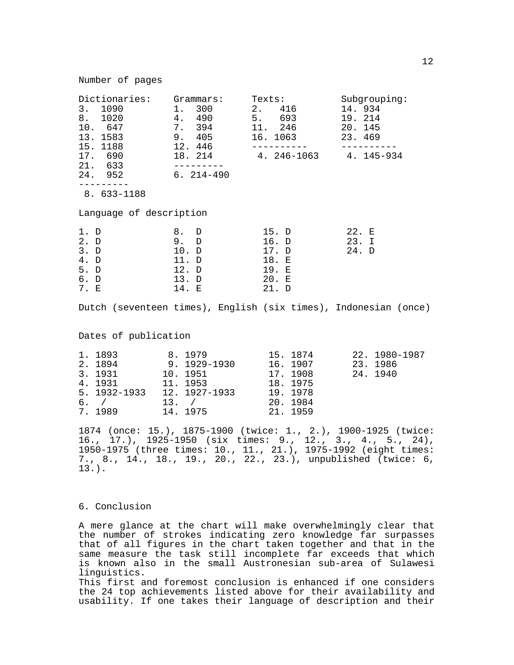| Dictionaries:<br>3. 1090<br>8. 1020<br>10. 647<br>13. 1583<br>15. 1188<br>17. 690<br>21. 633<br>24. 952 6. 214-490 | Grammars:<br>1. 300<br>4. 490<br>7. 394<br>9. 405<br>12. 446<br>18. 214 | Texts:<br>2. 416<br>5. 693<br>11. 246<br>16. 1063<br>4. 246-1063 4. 145-934 | Subgrouping:<br>14.934<br>19. 214<br>20. 145<br>23.469 |
|--------------------------------------------------------------------------------------------------------------------|-------------------------------------------------------------------------|-----------------------------------------------------------------------------|--------------------------------------------------------|
| 8. 633-1188                                                                                                        |                                                                         |                                                                             |                                                        |
| Language of description                                                                                            |                                                                         |                                                                             |                                                        |
| 1. D<br>2. D<br>3. D<br>4. D<br>5. D<br>6. D<br>7. E                                                               | 8. D<br>9. D<br>10. D<br>11. D<br>12.<br>D<br>13. D<br>14. E            | 15. D<br>16. D<br>17. D<br>18. E<br>19. E<br>20. E<br>21. D                 | 22. E<br>23. I<br>24. D                                |

Dutch (seventeen times), English (six times), Indonesian (once)

Dates of publication

| 1. 1893      | 8.1979        | 15. 1874 | 22. 1980-1987 |
|--------------|---------------|----------|---------------|
| 2. 1894      | 9.1929-1930   | 16. 1907 | 23.1986       |
| 3. 1931      | 10. 1951      | 17. 1908 | 24. 1940      |
| 4. 1931      | 11. 1953      | 18. 1975 |               |
| 5. 1932-1933 | 12. 1927-1933 | 19.1978  |               |
| $6.$ /       | $13.$ /       | 20. 1984 |               |
| 7.1989       | 14. 1975      | 21. 1959 |               |

1874 (once: 15.), 1875-1900 (twice: 1., 2.), 1900-1925 (twice: 16., 17.), 1925-1950 (six times: 9., 12., 3., 4., 5., 24), 1950-1975 (three times: 10., 11., 21.), 1975-1992 (eight times: 7., 8., 14., 18., 19., 20., 22., 23.), unpublished (twice: 6, 13.).

#### 6. Conclusion

A mere glance at the chart will make overwhelmingly clear that the number of strokes indicating zero knowledge far surpasses that of all figures in the chart taken together and that in the same measure the task still incomplete far exceeds that which is known also in the small Austronesian sub-area of Sulawesi linguistics. This first and foremost conclusion is enhanced if one considers

the 24 top achievements listed above for their availability and usability. If one takes their language of description and their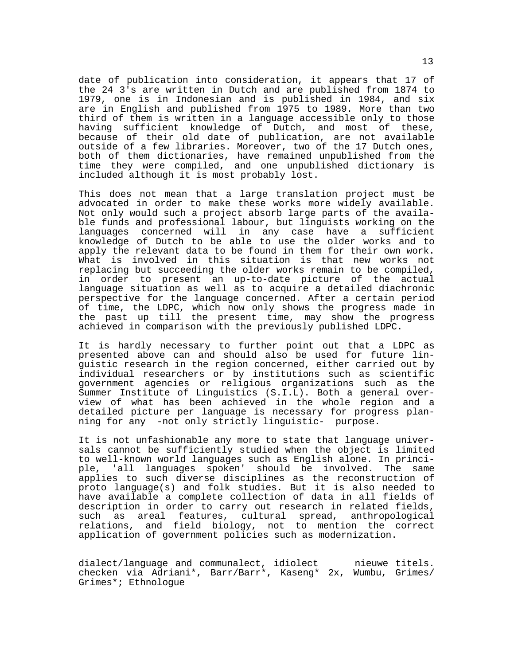date of publication into consideration, it appears that 17 of the 24 3's are written in Dutch and are published from 1874 to 1979, one is in Indonesian and is published in 1984, and six are in English and published from 1975 to 1989. More than two third of them is written in a language accessible only to those having sufficient knowledge of Dutch, and most of these, because of their old date of publication, are not available outside of a few libraries. Moreover, two of the 17 Dutch ones, both of them dictionaries, have remained unpublished from the time they were compiled, and one unpublished dictionary is included although it is most probably lost.

This does not mean that a large translation project must be advocated in order to make these works more widely available. Not only would such a project absorb large parts of the available funds and professional labour, but linguists working on the languages concerned will in any case have a sufficient knowledge of Dutch to be able to use the older works and to apply the relevant data to be found in them for their own work. What is involved in this situation is that new works not replacing but succeeding the older works remain to be compiled, in order to present an up-to-date picture of the actual language situation as well as to acquire a detailed diachronic perspective for the language concerned. After a certain period of time, the LDPC, which now only shows the progress made in the past up till the present time, may show the progress achieved in comparison with the previously published LDPC.

It is hardly necessary to further point out that a LDPC as presented above can and should also be used for future linguistic research in the region concerned, either carried out by individual researchers or by institutions such as scientific government agencies or religious organizations such as the Summer Institute of Linguistics (S.I.L). Both a general overview of what has been achieved in the whole region and a detailed picture per language is necessary for progress planning for any -not only strictly linguistic- purpose.

It is not unfashionable any more to state that language universals cannot be sufficiently studied when the object is limited to well-known world languages such as English alone. In principle, 'all languages spoken' should be involved. The same applies to such diverse disciplines as the reconstruction of proto language(s) and folk studies. But it is also needed to have available a complete collection of data in all fields of description in order to carry out research in related fields, such as areal features, cultural spread, anthropological relations, and field biology, not to mention the correct application of government policies such as modernization.

dialect/language and communalect, idiolect nieuwe titels. checken via Adriani\*, Barr/Barr\*, Kaseng\* 2x, Wumbu, Grimes/ Grimes\*; Ethnologue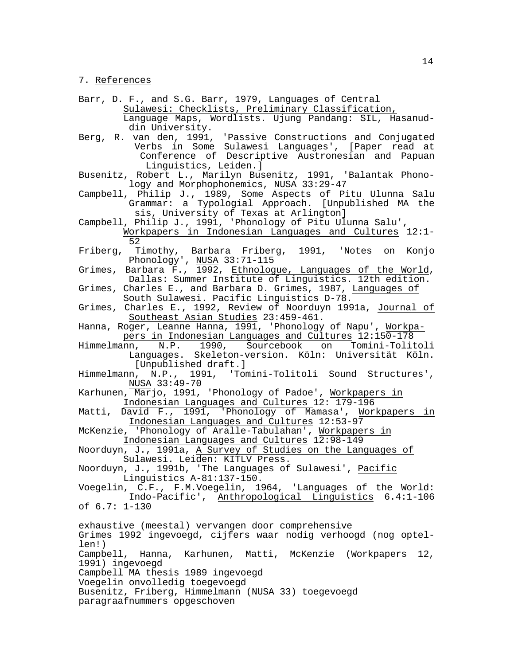7. References

- Barr, D. F., and S.G. Barr, 1979, Languages of Central Sulawesi: Checklists, Preliminary Classification, Language Maps, Wordlists. Ujung Pandang: SIL, Hasanud din University.
- Berg, R. van den, 1991, 'Passive Constructions and Conjugated Verbs in Some Sulawesi Languages', [Paper read at Conference of Descriptive Austronesian and Papuan Linguistics, Leiden.]
- Busenitz, Robert L., Marilyn Busenitz, 1991, 'Balantak Phono logy and Morphophonemics, NUSA 33:29-47
- Campbell, Philip J., 1989, Some Aspects of Pitu Ulunna Salu Grammar: a Typologial Approach. [Unpublished MA the sis, University of Texas at Arlington]
- Campbell, Philip J., 1991, 'Phonology of Pitu Ulunna Salu', Workpapers in Indonesian Languages and Cultures 12:1- 52<br>Friberg, T
- Timothy, Barbara Friberg, 1991, 'Notes on Konjo Phonology', NUSA 33:71-115
- Grimes, Barbara F., 1992, <u>Ethnologue, Languages of the World</u>,
- Dallas: Summer Institute of Linguistics. 12th edition. Grimes, Charles E., and Barbara D. Grimes, 1987, Languages of South Sulawesi. Pacific Linguistics D-78.
- Grimes, Charles E., 1992, Review of Noorduyn 1991a, Journal of Southeast Asian Studies 23:459-461.
- Hanna, Roger, Leanne Hanna, 1991, 'Phonology of Napu', Workpa pers in Indonesian Languages and Cultures 12:150-178
- Himmelmann, N.P. 1990, Sourcebook on Tomini-Tolitoli Languages. Skeleton-version. Köln: Universität Köln. [Unpublished draft.]
- Himmelmann, N.P., 1991, 'Tomini-Tolitoli Sound Structures', NUSA 33:49-70
- Karhunen, Marjo, 1991, 'Phonology of Padoe', Workpapers in Indonesian Languages and Cultures 12: 179-196
- Matti, David F., 1991, 'Phonology of Mamasa', Workpapers in Indonesian Languages and Cultures 12:53-97
- McKenzie, 'Phonology of Aralle-Tabulahan', Workpapers in Indonesian Languages and Cultures 12:98-149
- Noorduyn, J., 1991a, A Survey of Studies on the Languages of Sulawesi. Leiden: KITLV Press.
- Noorduyn, J., 1991b, 'The Languages of Sulawesi', Pacific Linguistics A-81:137-150.
- Voegelin, C.F., F.M.Voegelin, 1964, 'Languages of the World: Indo-Pacific', Anthropological Linguistics 6.4:1-106 of 6.7: 1-130

exhaustive (meestal) vervangen door comprehensive Grimes 1992 ingevoegd, cijfers waar nodig verhoogd (nog optellen!) Campbell, Hanna, Karhunen, Matti, McKenzie (Workpapers 12, 1991) ingevoegd Campbell MA thesis 1989 ingevoegd Voegelin onvolledig toegevoegd Busenitz, Friberg, Himmelmann (NUSA 33) toegevoegd paragraafnummers opgeschoven